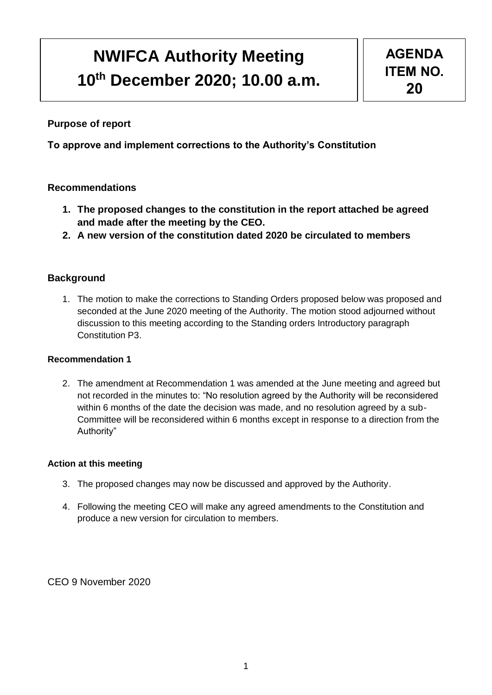# **NWIFCA Authority Meeting 10th December 2020; 10.00 a.m.**

## **Purpose of report**

**To approve and implement corrections to the Authority's Constitution**

## **Recommendations**

- **1. The proposed changes to the constitution in the report attached be agreed and made after the meeting by the CEO.**
- **2. A new version of the constitution dated 2020 be circulated to members**

## **Background**

1. The motion to make the corrections to Standing Orders proposed below was proposed and seconded at the June 2020 meeting of the Authority. The motion stood adjourned without discussion to this meeting according to the Standing orders Introductory paragraph Constitution P3.

### **Recommendation 1**

2. The amendment at Recommendation 1 was amended at the June meeting and agreed but not recorded in the minutes to: "No resolution agreed by the Authority will be reconsidered within 6 months of the date the decision was made, and no resolution agreed by a sub-Committee will be reconsidered within 6 months except in response to a direction from the Authority"

#### **Action at this meeting**

- 3. The proposed changes may now be discussed and approved by the Authority.
- 4. Following the meeting CEO will make any agreed amendments to the Constitution and produce a new version for circulation to members.

CEO 9 November 2020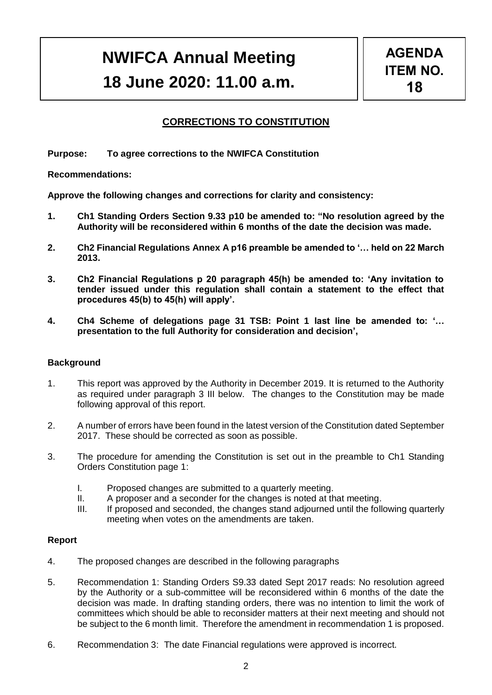## **NWIFCA Annual Meeting 18 June 2020: 11.00 a.m.**

## **CORRECTIONS TO CONSTITUTION**

**Purpose: To agree corrections to the NWIFCA Constitution**

**Recommendations:** 

**Approve the following changes and corrections for clarity and consistency:**

- **1. Ch1 Standing Orders Section 9.33 p10 be amended to: "No resolution agreed by the Authority will be reconsidered within 6 months of the date the decision was made.**
- **2. Ch2 Financial Regulations Annex A p16 preamble be amended to '… held on 22 March 2013.**
- **3. Ch2 Financial Regulations p 20 paragraph 45(h) be amended to: 'Any invitation to tender issued under this regulation shall contain a statement to the effect that procedures 45(b) to 45(h) will apply'.**
- **4. Ch4 Scheme of delegations page 31 TSB: Point 1 last line be amended to: '… presentation to the full Authority for consideration and decision',**

#### **Background**

- 1. This report was approved by the Authority in December 2019. It is returned to the Authority as required under paragraph 3 III below. The changes to the Constitution may be made following approval of this report.
- 2. A number of errors have been found in the latest version of the Constitution dated September 2017. These should be corrected as soon as possible.
- 3. The procedure for amending the Constitution is set out in the preamble to Ch1 Standing Orders Constitution page 1:
	- I. Proposed changes are submitted to a quarterly meeting.
	- II. A proposer and a seconder for the changes is noted at that meeting.
	- III. If proposed and seconded, the changes stand adjourned until the following quarterly meeting when votes on the amendments are taken.

#### **Report**

- 4. The proposed changes are described in the following paragraphs
- 5. Recommendation 1: Standing Orders S9.33 dated Sept 2017 reads: No resolution agreed by the Authority or a sub-committee will be reconsidered within 6 months of the date the decision was made. In drafting standing orders, there was no intention to limit the work of committees which should be able to reconsider matters at their next meeting and should not be subject to the 6 month limit. Therefore the amendment in recommendation 1 is proposed.
- 6. Recommendation 3: The date Financial regulations were approved is incorrect.